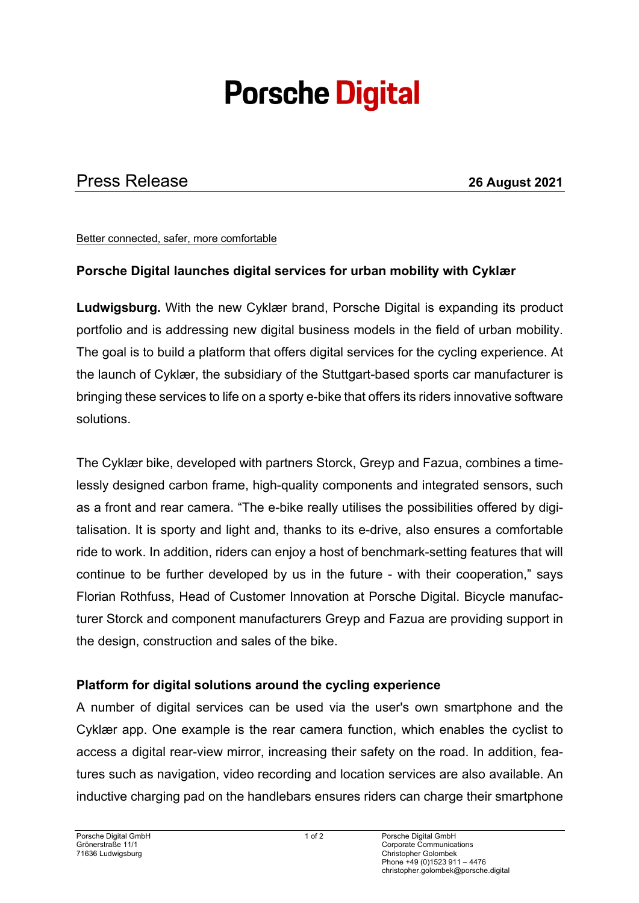# **Porsche Digital**

## Press Release **26 August 2021**

Better connected, safer, more comfortable

#### **Porsche Digital launches digital services for urban mobility with Cyklær**

**Ludwigsburg.** With the new Cyklær brand, Porsche Digital is expanding its product portfolio and is addressing new digital business models in the field of urban mobility. The goal is to build a platform that offers digital services for the cycling experience. At the launch of Cyklær, the subsidiary of the Stuttgart-based sports car manufacturer is bringing these services to life on a sporty e-bike that offers its riders innovative software solutions.

The Cyklær bike, developed with partners Storck, Greyp and Fazua, combines a timelessly designed carbon frame, high-quality components and integrated sensors, such as a front and rear camera. "The e-bike really utilises the possibilities offered by digitalisation. It is sporty and light and, thanks to its e-drive, also ensures a comfortable ride to work. In addition, riders can enjoy a host of benchmark-setting features that will continue to be further developed by us in the future - with their cooperation," says Florian Rothfuss, Head of Customer Innovation at Porsche Digital. Bicycle manufacturer Storck and component manufacturers Greyp and Fazua are providing support in the design, construction and sales of the bike.

#### **Platform for digital solutions around the cycling experience**

A number of digital services can be used via the user's own smartphone and the Cyklær app. One example is the rear camera function, which enables the cyclist to access a digital rear-view mirror, increasing their safety on the road. In addition, features such as navigation, video recording and location services are also available. An inductive charging pad on the handlebars ensures riders can charge their smartphone